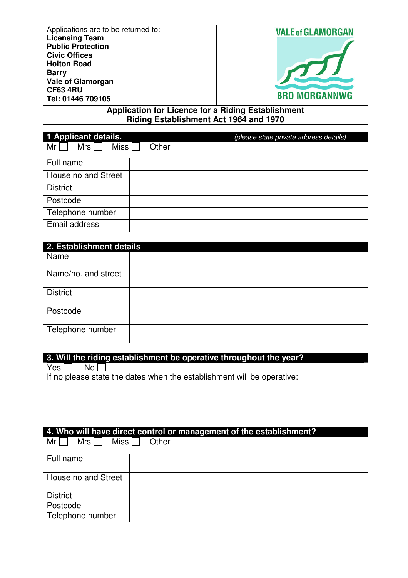| Applications are to be returned to:<br><b>Licensing Team</b><br><b>Public Protection</b><br><b>Civic Offices</b><br><b>Holton Road</b><br><b>Barry</b><br><b>Vale of Glamorgan</b><br><b>CF63 4RU</b><br>Tel: 01446 709105 | <b>VALE of GLAMORGAN</b><br><b>BRO MORGANNWG</b> |
|----------------------------------------------------------------------------------------------------------------------------------------------------------------------------------------------------------------------------|--------------------------------------------------|
|----------------------------------------------------------------------------------------------------------------------------------------------------------------------------------------------------------------------------|--------------------------------------------------|

**Application for Licence for a Riding Establishment Riding Establishment Act 1964 and 1970** 

| 1 Applicant details.             |       | (please state private address details) |
|----------------------------------|-------|----------------------------------------|
| Miss  <br>Mrs<br>Mr <sub>l</sub> | Other |                                        |
| Full name                        |       |                                        |
| House no and Street              |       |                                        |
| <b>District</b>                  |       |                                        |
| Postcode                         |       |                                        |
| Telephone number                 |       |                                        |
| Email address                    |       |                                        |

| 2. Establishment details |  |
|--------------------------|--|
| Name                     |  |
| Name/no. and street      |  |
| <b>District</b>          |  |
| Postcode                 |  |
| Telephone number         |  |

# **3. Will the riding establishment be operative throughout the year?**<br> **Primes Allen No Allen No Allen No Allen No Allen No Allen No Allen No Allen No Allen No Allen No Allen No Allen No**

Yes  $\square$ 

If no please state the dates when the establishment will be operative:

| 4. Who will have direct control or management of the establishment? |  |  |  |  |
|---------------------------------------------------------------------|--|--|--|--|
| Miss    <br>Mrs<br>Mr<br>Other                                      |  |  |  |  |
| Full name                                                           |  |  |  |  |
| House no and Street                                                 |  |  |  |  |
| <b>District</b>                                                     |  |  |  |  |
| Postcode                                                            |  |  |  |  |
| Telephone number                                                    |  |  |  |  |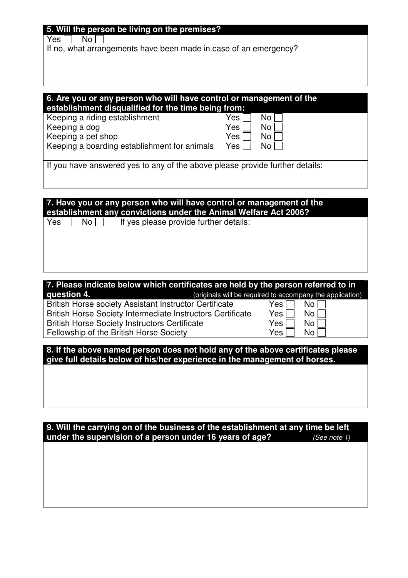#### **5. Will the person be living on the premises?**

Keeping a boarding establishment for animals

 $Yes \Box No \Box$ 

If no, what arrangements have been made in case of an emergency?

#### **6. Are you or any person who will have control or management of the establishment disqualified for the time being from:** Keeping a riding establishment Keeping a dog Keeping a pet shop  $Yes \Box$  No  $\Box$  $Yes \Box No \Box$  $Yes \Box No \Box$

 $Yes \Box No \Box$ 

If you have answered yes to any of the above please provide further details:

# **7. Have you or any person who will have control or management of the establishment any convictions under the Animal Welfare Act 2006?**

 $Yes \n\begin{array}{ccc}\n\bigcap & No \n\end{array}$  If yes please provide further details:

#### **7. Please indicate below which certificates are held by the person referred to in question 4.** *(originals will be required to accompany the application)*

British Horse society Assistant Instructor Certificate British Horse Society Intermediate Instructors Certificate British Horse Society Instructors Certificate Fellowship of the British Horse Society

| το accompany τη <del>ς</del> |    |  |  |  |
|------------------------------|----|--|--|--|
| Yes                          | No |  |  |  |
| Yes                          | No |  |  |  |
| Yes                          | No |  |  |  |
| √es                          | N٥ |  |  |  |

**8. If the above named person does not hold any of the above certificates please give full details below of his/her experience in the management of horses.** 

#### **9. Will the carrying on of the business of the establishment at any time be left under the supervision of a person under 16 years of age?** (See note 1)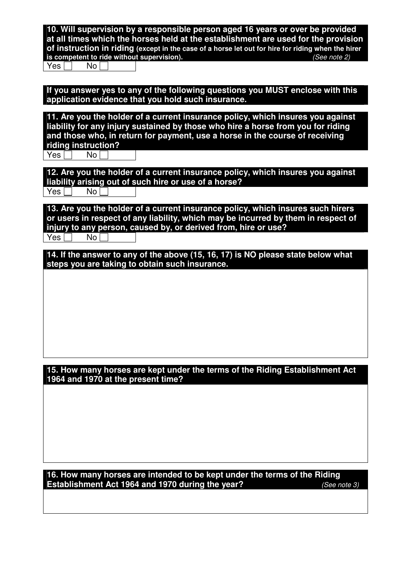**10. Will supervision by a responsible person aged 16 years or over be provided at all times which the horses held at the establishment are used for the provision of instruction in riding** (except in the case of a horse let out for hire for riding when the hirer is competent to ride without supervision). is competent to ride without supervision).  $Yes \Box$  No

**If you answer yes to any of the following questions you MUST enclose with this application evidence that you hold such insurance.** 

**11. Are you the holder of a current insurance policy, which insures you against liability for any injury sustained by those who hire a horse from you for riding and those who, in return for payment, use a horse in the course of receiving riding instruction?** 

 $Yes \Box$  No

**12. Are you the holder of a current insurance policy, which insures you against liability arising out of such hire or use of a horse?**   $Yes \Box$  No

**13. Are you the holder of a current insurance policy, which insures such hirers or users in respect of any liability, which may be incurred by them in respect of injury to any person, caused by, or derived from, hire or use?** 

 $Yes \Box$  No  $\Box$ 

**14. If the answer to any of the above (15, 16, 17) is NO please state below what steps you are taking to obtain such insurance.** 

**15. How many horses are kept under the terms of the Riding Establishment Act 1964 and 1970 at the present time?** 

**16. How many horses are intended to be kept under the terms of the Riding Establishment Act 1964 and 1970 during the year?** (See note 3)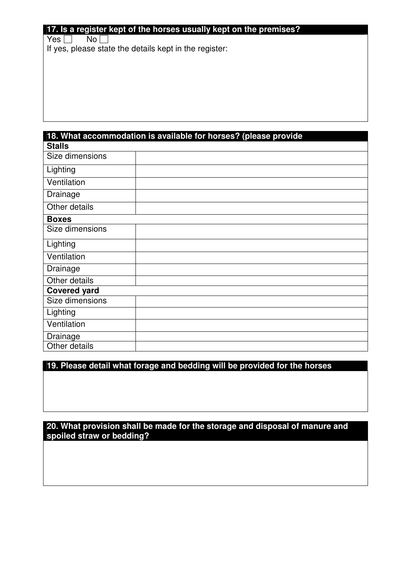#### **17. Is a register kept of the horses usually kept on the premises?**

 $Yes \Box No \Box$ 

If yes, please state the details kept in the register:

|                     | 18. What accommodation is available for horses? (please provide |
|---------------------|-----------------------------------------------------------------|
| <b>Stalls</b>       |                                                                 |
| Size dimensions     |                                                                 |
| Lighting            |                                                                 |
| Ventilation         |                                                                 |
| Drainage            |                                                                 |
| Other details       |                                                                 |
| <b>Boxes</b>        |                                                                 |
| Size dimensions     |                                                                 |
| Lighting            |                                                                 |
| Ventilation         |                                                                 |
| Drainage            |                                                                 |
| Other details       |                                                                 |
| <b>Covered yard</b> |                                                                 |
| Size dimensions     |                                                                 |
| Lighting            |                                                                 |
| Ventilation         |                                                                 |
| Drainage            |                                                                 |
| Other details       |                                                                 |

# **19. Please detail what forage and bedding will be provided for the horses**

## **20. What provision shall be made for the storage and disposal of manure and spoiled straw or bedding?**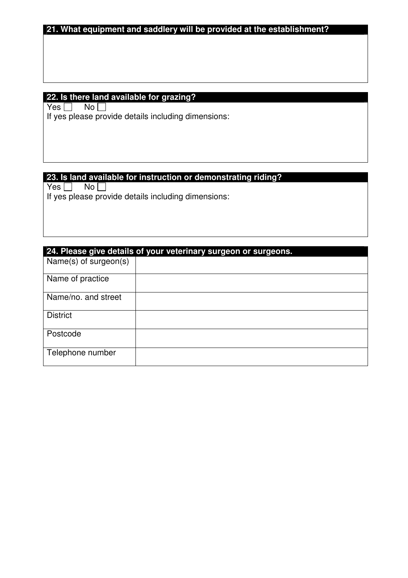# **21. What equipment and saddlery will be provided at the establishment?**

# **22. Is there land available for grazing?**

 $Yes \Box No \Box$ If yes please provide details including dimensions:

#### **23. Is land available for instruction or demonstrating riding?**

 $Yes \Box No \Box$ If yes please provide details including dimensions:

|                       | 24. Please give details of your veterinary surgeon or surgeons. |  |  |  |  |
|-----------------------|-----------------------------------------------------------------|--|--|--|--|
| Name(s) of surgeon(s) |                                                                 |  |  |  |  |
| Name of practice      |                                                                 |  |  |  |  |
| Name/no. and street   |                                                                 |  |  |  |  |
| <b>District</b>       |                                                                 |  |  |  |  |
| Postcode              |                                                                 |  |  |  |  |
| Telephone number      |                                                                 |  |  |  |  |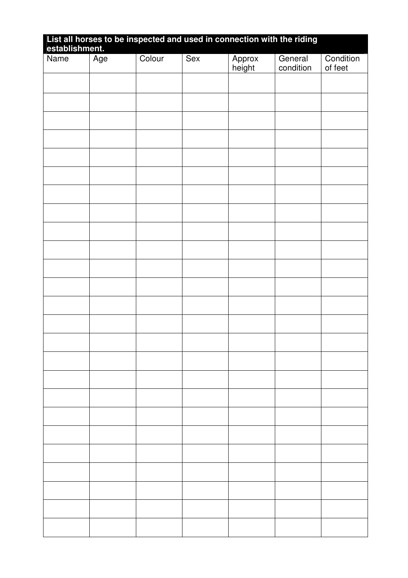| List all horses to be inspected and used in connection with the riding establishment. |     |        |     |                  |                      |                      |
|---------------------------------------------------------------------------------------|-----|--------|-----|------------------|----------------------|----------------------|
| Name                                                                                  | Age | Colour | Sex | Approx<br>height | General<br>condition | Condition<br>of feet |
|                                                                                       |     |        |     |                  |                      |                      |
|                                                                                       |     |        |     |                  |                      |                      |
|                                                                                       |     |        |     |                  |                      |                      |
|                                                                                       |     |        |     |                  |                      |                      |
|                                                                                       |     |        |     |                  |                      |                      |
|                                                                                       |     |        |     |                  |                      |                      |
|                                                                                       |     |        |     |                  |                      |                      |
|                                                                                       |     |        |     |                  |                      |                      |
|                                                                                       |     |        |     |                  |                      |                      |
|                                                                                       |     |        |     |                  |                      |                      |
|                                                                                       |     |        |     |                  |                      |                      |
|                                                                                       |     |        |     |                  |                      |                      |
|                                                                                       |     |        |     |                  |                      |                      |
|                                                                                       |     |        |     |                  |                      |                      |
|                                                                                       |     |        |     |                  |                      |                      |
|                                                                                       |     |        |     |                  |                      |                      |
|                                                                                       |     |        |     |                  |                      |                      |
|                                                                                       |     |        |     |                  |                      |                      |
|                                                                                       |     |        |     |                  |                      |                      |
|                                                                                       |     |        |     |                  |                      |                      |
|                                                                                       |     |        |     |                  |                      |                      |
|                                                                                       |     |        |     |                  |                      |                      |
|                                                                                       |     |        |     |                  |                      |                      |
|                                                                                       |     |        |     |                  |                      |                      |
|                                                                                       |     |        |     |                  |                      |                      |
|                                                                                       |     |        |     |                  |                      |                      |
|                                                                                       |     |        |     |                  |                      |                      |